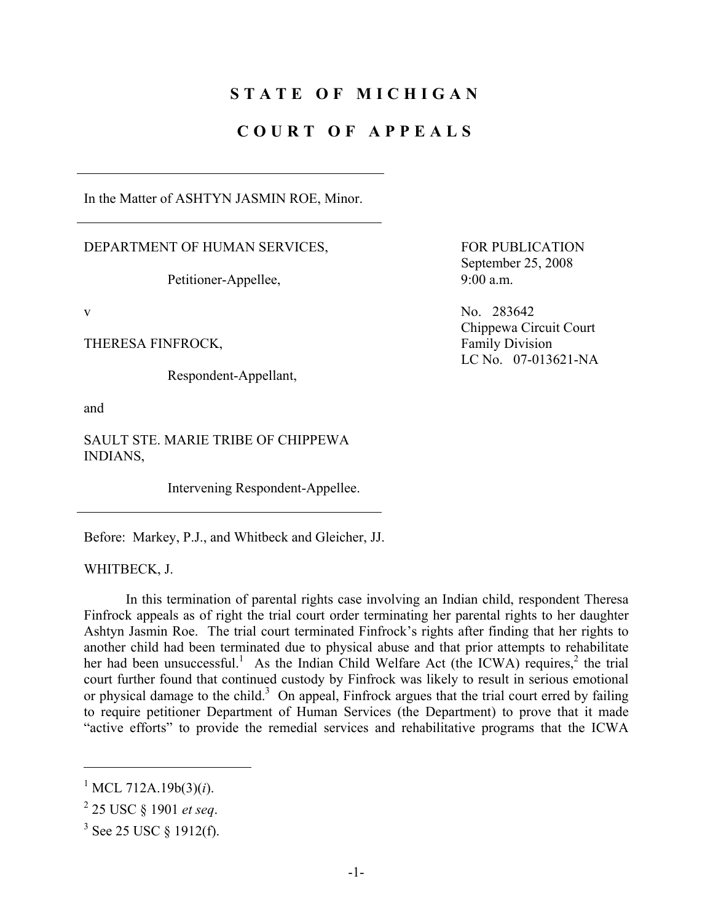# **STATE OF MICHIGAN**

# **COURT OF APPEALS**

In the Matter of ASHTYN JASMIN ROE, Minor.

DEPARTMENT OF HUMAN SERVICES,

Petitioner-Appellee,

THERESA FINFROCK, Family Division

Respondent-Appellant,

and

SAULT STE. MARIE TRIBE OF CHIPPEWA INDIANS,

Intervening Respondent-Appellee.

Before: Markey, P.J., and Whitbeck and Gleicher, JJ.

WHITBECK, J.

 In this termination of parental rights case involving an Indian child, respondent Theresa Finfrock appeals as of right the trial court order terminating her parental rights to her daughter Ashtyn Jasmin Roe. The trial court terminated Finfrock's rights after finding that her rights to another child had been terminated due to physical abuse and that prior attempts to rehabilitate her had been unsuccessful.<sup>1</sup> As the Indian Child Welfare Act (the ICWA) requires,<sup>2</sup> the trial court further found that continued custody by Finfrock was likely to result in serious emotional or physical damage to the child.<sup>3</sup> On appeal, Finfrock argues that the trial court erred by failing to require petitioner Department of Human Services (the Department) to prove that it made "active efforts" to provide the remedial services and rehabilitative programs that the ICWA

1

 FOR PUBLICATION September 25, 2008 9:00 a.m.

v No. 283642 Chippewa Circuit Court LC No. 07-013621-NA

<sup>&</sup>lt;sup>1</sup> MCL 712A.19b(3)(*i*).

<sup>2</sup> 25 USC § 1901 *et seq*.

 $3$  See 25 USC  $\S$  1912(f).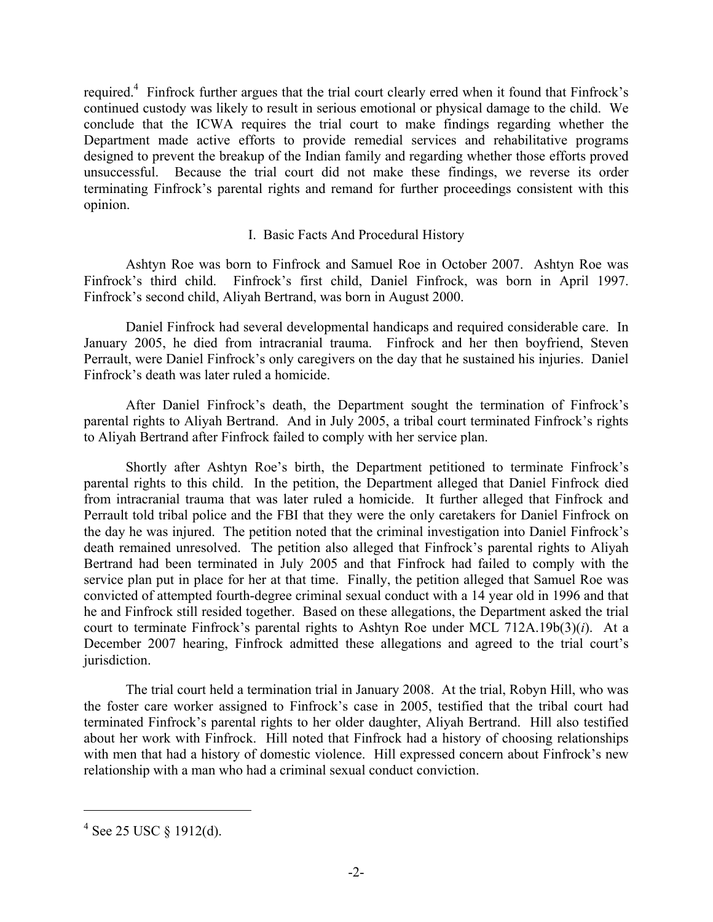required.<sup>4</sup> Finfrock further argues that the trial court clearly erred when it found that Finfrock's continued custody was likely to result in serious emotional or physical damage to the child. We conclude that the ICWA requires the trial court to make findings regarding whether the Department made active efforts to provide remedial services and rehabilitative programs designed to prevent the breakup of the Indian family and regarding whether those efforts proved unsuccessful. Because the trial court did not make these findings, we reverse its order terminating Finfrock's parental rights and remand for further proceedings consistent with this opinion.

### I. Basic Facts And Procedural History

 Ashtyn Roe was born to Finfrock and Samuel Roe in October 2007. Ashtyn Roe was Finfrock's third child. Finfrock's first child, Daniel Finfrock, was born in April 1997. Finfrock's second child, Aliyah Bertrand, was born in August 2000.

 Daniel Finfrock had several developmental handicaps and required considerable care. In January 2005, he died from intracranial trauma. Finfrock and her then boyfriend, Steven Perrault, were Daniel Finfrock's only caregivers on the day that he sustained his injuries. Daniel Finfrock's death was later ruled a homicide.

 After Daniel Finfrock's death, the Department sought the termination of Finfrock's parental rights to Aliyah Bertrand. And in July 2005, a tribal court terminated Finfrock's rights to Aliyah Bertrand after Finfrock failed to comply with her service plan.

 Shortly after Ashtyn Roe's birth, the Department petitioned to terminate Finfrock's parental rights to this child. In the petition, the Department alleged that Daniel Finfrock died from intracranial trauma that was later ruled a homicide. It further alleged that Finfrock and Perrault told tribal police and the FBI that they were the only caretakers for Daniel Finfrock on the day he was injured. The petition noted that the criminal investigation into Daniel Finfrock's death remained unresolved. The petition also alleged that Finfrock's parental rights to Aliyah Bertrand had been terminated in July 2005 and that Finfrock had failed to comply with the service plan put in place for her at that time. Finally, the petition alleged that Samuel Roe was convicted of attempted fourth-degree criminal sexual conduct with a 14 year old in 1996 and that he and Finfrock still resided together. Based on these allegations, the Department asked the trial court to terminate Finfrock's parental rights to Ashtyn Roe under MCL 712A.19b(3)(*i*). At a December 2007 hearing, Finfrock admitted these allegations and agreed to the trial court's jurisdiction.

 The trial court held a termination trial in January 2008. At the trial, Robyn Hill, who was the foster care worker assigned to Finfrock's case in 2005, testified that the tribal court had terminated Finfrock's parental rights to her older daughter, Aliyah Bertrand. Hill also testified about her work with Finfrock. Hill noted that Finfrock had a history of choosing relationships with men that had a history of domestic violence. Hill expressed concern about Finfrock's new relationship with a man who had a criminal sexual conduct conviction.

<u>.</u>

 $4$  See 25 USC § 1912(d).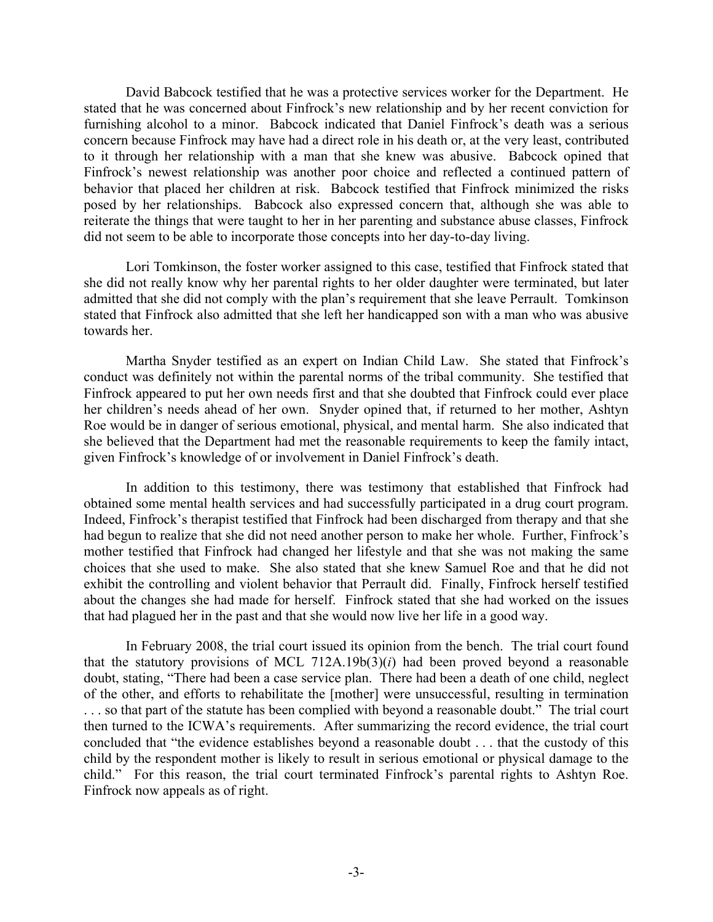David Babcock testified that he was a protective services worker for the Department. He stated that he was concerned about Finfrock's new relationship and by her recent conviction for furnishing alcohol to a minor. Babcock indicated that Daniel Finfrock's death was a serious concern because Finfrock may have had a direct role in his death or, at the very least, contributed to it through her relationship with a man that she knew was abusive. Babcock opined that Finfrock's newest relationship was another poor choice and reflected a continued pattern of behavior that placed her children at risk. Babcock testified that Finfrock minimized the risks posed by her relationships. Babcock also expressed concern that, although she was able to reiterate the things that were taught to her in her parenting and substance abuse classes, Finfrock did not seem to be able to incorporate those concepts into her day-to-day living.

 Lori Tomkinson, the foster worker assigned to this case, testified that Finfrock stated that she did not really know why her parental rights to her older daughter were terminated, but later admitted that she did not comply with the plan's requirement that she leave Perrault. Tomkinson stated that Finfrock also admitted that she left her handicapped son with a man who was abusive towards her.

 Martha Snyder testified as an expert on Indian Child Law. She stated that Finfrock's conduct was definitely not within the parental norms of the tribal community. She testified that Finfrock appeared to put her own needs first and that she doubted that Finfrock could ever place her children's needs ahead of her own. Snyder opined that, if returned to her mother, Ashtyn Roe would be in danger of serious emotional, physical, and mental harm. She also indicated that she believed that the Department had met the reasonable requirements to keep the family intact, given Finfrock's knowledge of or involvement in Daniel Finfrock's death.

 In addition to this testimony, there was testimony that established that Finfrock had obtained some mental health services and had successfully participated in a drug court program. Indeed, Finfrock's therapist testified that Finfrock had been discharged from therapy and that she had begun to realize that she did not need another person to make her whole. Further, Finfrock's mother testified that Finfrock had changed her lifestyle and that she was not making the same choices that she used to make. She also stated that she knew Samuel Roe and that he did not exhibit the controlling and violent behavior that Perrault did. Finally, Finfrock herself testified about the changes she had made for herself. Finfrock stated that she had worked on the issues that had plagued her in the past and that she would now live her life in a good way.

 In February 2008, the trial court issued its opinion from the bench. The trial court found that the statutory provisions of MCL 712A.19b(3)(*i*) had been proved beyond a reasonable doubt, stating, "There had been a case service plan. There had been a death of one child, neglect of the other, and efforts to rehabilitate the [mother] were unsuccessful, resulting in termination ... so that part of the statute has been complied with beyond a reasonable doubt." The trial court then turned to the ICWA's requirements. After summarizing the record evidence, the trial court concluded that "the evidence establishes beyond a reasonable doubt . . . that the custody of this child by the respondent mother is likely to result in serious emotional or physical damage to the child." For this reason, the trial court terminated Finfrock's parental rights to Ashtyn Roe. Finfrock now appeals as of right.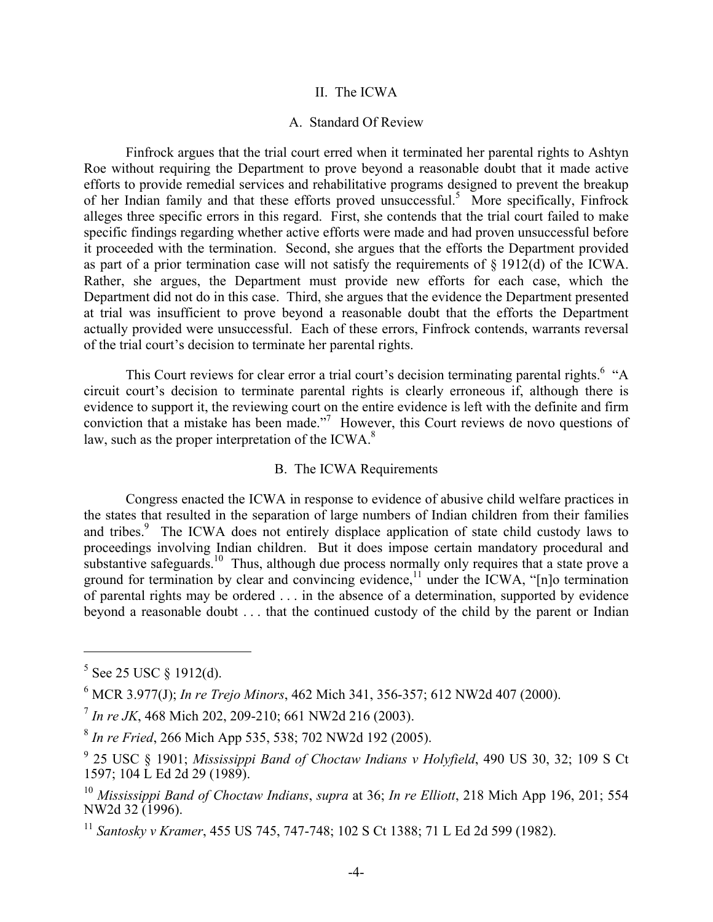#### II. The ICWA

#### A. Standard Of Review

 Finfrock argues that the trial court erred when it terminated her parental rights to Ashtyn Roe without requiring the Department to prove beyond a reasonable doubt that it made active efforts to provide remedial services and rehabilitative programs designed to prevent the breakup of her Indian family and that these efforts proved unsuccessful.<sup>5</sup> More specifically, Finfrock alleges three specific errors in this regard. First, she contends that the trial court failed to make specific findings regarding whether active efforts were made and had proven unsuccessful before it proceeded with the termination. Second, she argues that the efforts the Department provided as part of a prior termination case will not satisfy the requirements of § 1912(d) of the ICWA. Rather, she argues, the Department must provide new efforts for each case, which the Department did not do in this case. Third, she argues that the evidence the Department presented at trial was insufficient to prove beyond a reasonable doubt that the efforts the Department actually provided were unsuccessful. Each of these errors, Finfrock contends, warrants reversal of the trial court's decision to terminate her parental rights.

This Court reviews for clear error a trial court's decision terminating parental rights.<sup>6</sup> "A circuit court's decision to terminate parental rights is clearly erroneous if, although there is evidence to support it, the reviewing court on the entire evidence is left with the definite and firm conviction that a mistake has been made."<sup>7</sup> However, this Court reviews de novo questions of law, such as the proper interpretation of the ICWA. $8$ 

### B. The ICWA Requirements

 Congress enacted the ICWA in response to evidence of abusive child welfare practices in the states that resulted in the separation of large numbers of Indian children from their families and tribes.<sup>9</sup> The ICWA does not entirely displace application of state child custody laws to proceedings involving Indian children. But it does impose certain mandatory procedural and substantive safeguards.<sup>10</sup> Thus, although due process normally only requires that a state prove a ground for termination by clear and convincing evidence,<sup> $11$ </sup> under the ICWA, "[n]o termination of parental rights may be ordered . . . in the absence of a determination, supported by evidence beyond a reasonable doubt . . . that the continued custody of the child by the parent or Indian

 $5$  See 25 USC § 1912(d).

<sup>6</sup> MCR 3.977(J); *In re Trejo Minors*, 462 Mich 341, 356-357; 612 NW2d 407 (2000).

<sup>7</sup> *In re JK*, 468 Mich 202, 209-210; 661 NW2d 216 (2003).

<sup>8</sup> *In re Fried*, 266 Mich App 535, 538; 702 NW2d 192 (2005).

<sup>9</sup> 25 USC § 1901; *Mississippi Band of Choctaw Indians v Holyfield*, 490 US 30, 32; 109 S Ct 1597; 104 L Ed 2d 29 (1989).

<sup>10</sup> *Mississippi Band of Choctaw Indians*, *supra* at 36; *In re Elliott*, 218 Mich App 196, 201; 554 NW2d 32 (1996).

<sup>11</sup> *Santosky v Kramer*, 455 US 745, 747-748; 102 S Ct 1388; 71 L Ed 2d 599 (1982).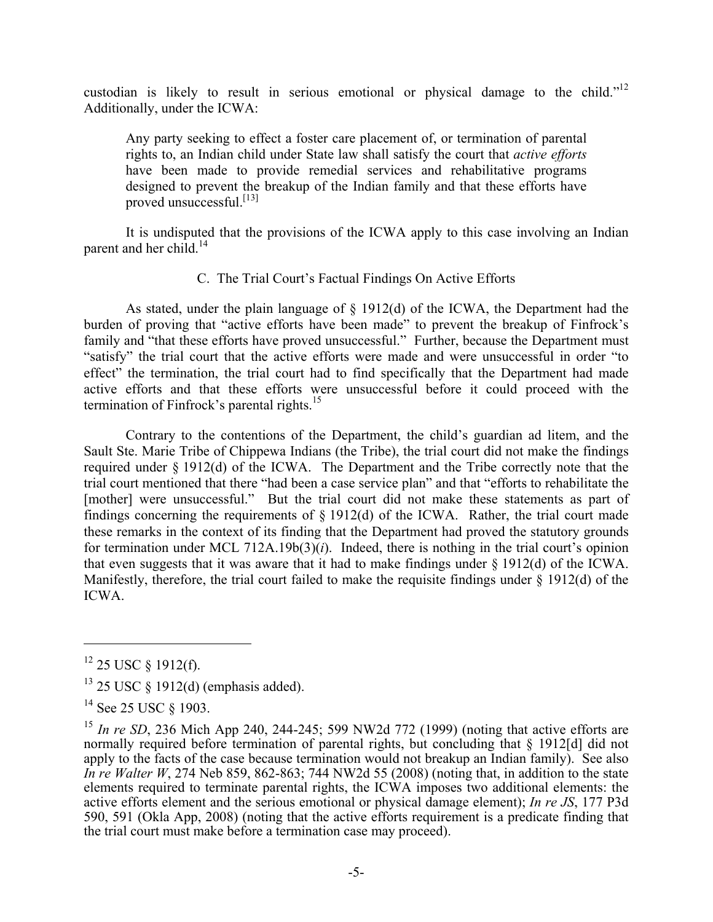custodian is likely to result in serious emotional or physical damage to the child."12 Additionally, under the ICWA:

Any party seeking to effect a foster care placement of, or termination of parental rights to, an Indian child under State law shall satisfy the court that *active efforts* have been made to provide remedial services and rehabilitative programs designed to prevent the breakup of the Indian family and that these efforts have proved unsuccessful. $^{[13]}$ 

 It is undisputed that the provisions of the ICWA apply to this case involving an Indian parent and her child. $^{14}$ 

# C. The Trial Court's Factual Findings On Active Efforts

 As stated, under the plain language of § 1912(d) of the ICWA, the Department had the burden of proving that "active efforts have been made" to prevent the breakup of Finfrock's family and "that these efforts have proved unsuccessful." Further, because the Department must "satisfy" the trial court that the active efforts were made and were unsuccessful in order "to effect" the termination, the trial court had to find specifically that the Department had made active efforts and that these efforts were unsuccessful before it could proceed with the termination of Finfrock's parental rights.<sup>15</sup>

 Contrary to the contentions of the Department, the child's guardian ad litem, and the Sault Ste. Marie Tribe of Chippewa Indians (the Tribe), the trial court did not make the findings required under § 1912(d) of the ICWA. The Department and the Tribe correctly note that the trial court mentioned that there "had been a case service plan" and that "efforts to rehabilitate the [mother] were unsuccessful." But the trial court did not make these statements as part of findings concerning the requirements of  $\S$  1912(d) of the ICWA. Rather, the trial court made these remarks in the context of its finding that the Department had proved the statutory grounds for termination under MCL 712A.19b(3)( $i$ ). Indeed, there is nothing in the trial court's opinion that even suggests that it was aware that it had to make findings under § 1912(d) of the ICWA. Manifestly, therefore, the trial court failed to make the requisite findings under § 1912(d) of the ICWA.

 $12$  25 USC § 1912(f).

<sup>13 25</sup> USC § 1912(d) (emphasis added).

<sup>&</sup>lt;sup>14</sup> See 25 USC § 1903.

<sup>&</sup>lt;sup>15</sup> *In re SD*, 236 Mich App 240, 244-245; 599 NW2d 772 (1999) (noting that active efforts are normally required before termination of parental rights, but concluding that § 1912[d] did not apply to the facts of the case because termination would not breakup an Indian family). See also *In re Walter W*, 274 Neb 859, 862-863; 744 NW2d 55 (2008) (noting that, in addition to the state elements required to terminate parental rights, the ICWA imposes two additional elements: the active efforts element and the serious emotional or physical damage element); *In re JS*, 177 P3d 590, 591 (Okla App, 2008) (noting that the active efforts requirement is a predicate finding that the trial court must make before a termination case may proceed).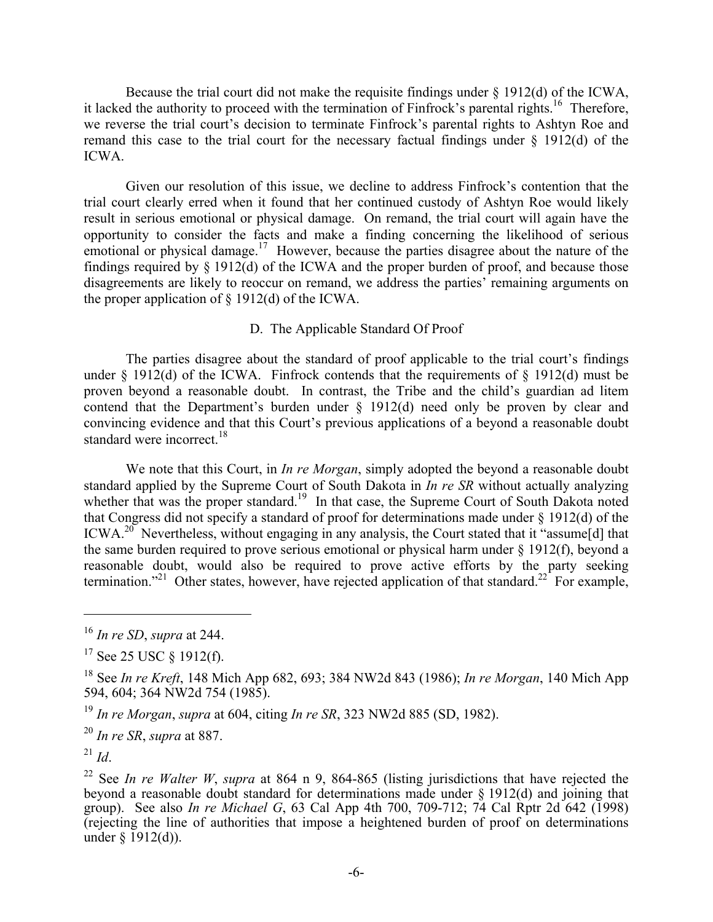Because the trial court did not make the requisite findings under § 1912(d) of the ICWA, it lacked the authority to proceed with the termination of Finfrock's parental rights.<sup>16</sup> Therefore, we reverse the trial court's decision to terminate Finfrock's parental rights to Ashtyn Roe and remand this case to the trial court for the necessary factual findings under  $\S$  1912(d) of the ICWA.

 Given our resolution of this issue, we decline to address Finfrock's contention that the trial court clearly erred when it found that her continued custody of Ashtyn Roe would likely result in serious emotional or physical damage. On remand, the trial court will again have the opportunity to consider the facts and make a finding concerning the likelihood of serious emotional or physical damage.<sup>17</sup> However, because the parties disagree about the nature of the findings required by § 1912(d) of the ICWA and the proper burden of proof, and because those disagreements are likely to reoccur on remand, we address the parties' remaining arguments on the proper application of  $\S$  1912(d) of the ICWA.

# D. The Applicable Standard Of Proof

 The parties disagree about the standard of proof applicable to the trial court's findings under  $\S$  1912(d) of the ICWA. Finfrock contends that the requirements of  $\S$  1912(d) must be proven beyond a reasonable doubt. In contrast, the Tribe and the child's guardian ad litem contend that the Department's burden under § 1912(d) need only be proven by clear and convincing evidence and that this Court's previous applications of a beyond a reasonable doubt standard were incorrect.<sup>18</sup>

 We note that this Court, in *In re Morgan*, simply adopted the beyond a reasonable doubt standard applied by the Supreme Court of South Dakota in *In re SR* without actually analyzing whether that was the proper standard.<sup>19</sup> In that case, the Supreme Court of South Dakota noted that Congress did not specify a standard of proof for determinations made under § 1912(d) of the ICWA.<sup>20</sup> Nevertheless, without engaging in any analysis, the Court stated that it "assume[d] that the same burden required to prove serious emotional or physical harm under § 1912(f), beyond a reasonable doubt, would also be required to prove active efforts by the party seeking termination."<sup>21</sup> Other states, however, have rejected application of that standard.<sup>22</sup> For example,

1

<sup>16</sup> *In re SD*, *supra* at 244.

 $17$  See 25 USC  $\frac{1912(f)}{f}$ .

<sup>18</sup> See *In re Kreft*, 148 Mich App 682, 693; 384 NW2d 843 (1986); *In re Morgan*, 140 Mich App 594, 604; 364 NW2d 754 (1985).

<sup>19</sup> *In re Morgan*, *supra* at 604, citing *In re SR*, 323 NW2d 885 (SD, 1982).

<sup>20</sup> *In re SR*, *supra* at 887.

 $^{21}$  *Id*.

<sup>22</sup> See *In re Walter W*, *supra* at 864 n 9, 864-865 (listing jurisdictions that have rejected the beyond a reasonable doubt standard for determinations made under § 1912(d) and joining that group). See also *In re Michael G*, 63 Cal App 4th 700, 709-712; 74 Cal Rptr 2d 642 (1998) (rejecting the line of authorities that impose a heightened burden of proof on determinations under  $\S$  1912(d)).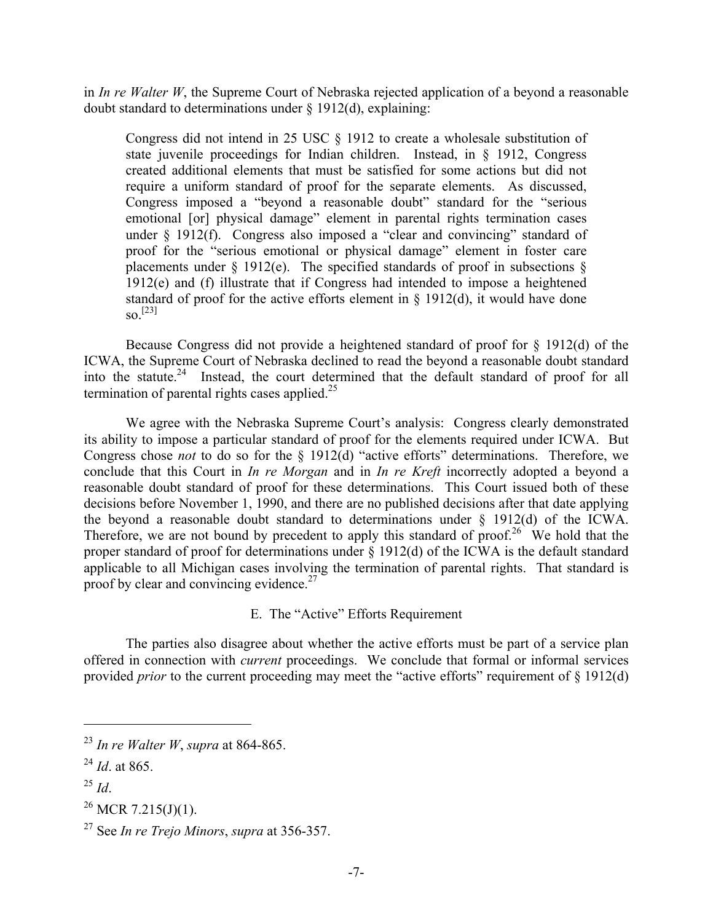in *In re Walter W*, the Supreme Court of Nebraska rejected application of a beyond a reasonable doubt standard to determinations under § 1912(d), explaining:

Congress did not intend in 25 USC § 1912 to create a wholesale substitution of state juvenile proceedings for Indian children. Instead, in § 1912, Congress created additional elements that must be satisfied for some actions but did not require a uniform standard of proof for the separate elements. As discussed, Congress imposed a "beyond a reasonable doubt" standard for the "serious emotional [or] physical damage" element in parental rights termination cases under § 1912(f). Congress also imposed a "clear and convincing" standard of proof for the "serious emotional or physical damage" element in foster care placements under  $\S$  1912(e). The specified standards of proof in subsections  $\S$ 1912(e) and (f) illustrate that if Congress had intended to impose a heightened standard of proof for the active efforts element in  $\S$  1912(d), it would have done  $\mathrm{SO}^{[23]}$ 

 Because Congress did not provide a heightened standard of proof for § 1912(d) of the ICWA, the Supreme Court of Nebraska declined to read the beyond a reasonable doubt standard into the statute.<sup>24</sup> Instead, the court determined that the default standard of proof for all termination of parental rights cases applied. $25$ 

 We agree with the Nebraska Supreme Court's analysis: Congress clearly demonstrated its ability to impose a particular standard of proof for the elements required under ICWA. But Congress chose *not* to do so for the § 1912(d) "active efforts" determinations. Therefore, we conclude that this Court in *In re Morgan* and in *In re Kreft* incorrectly adopted a beyond a reasonable doubt standard of proof for these determinations. This Court issued both of these decisions before November 1, 1990, and there are no published decisions after that date applying the beyond a reasonable doubt standard to determinations under § 1912(d) of the ICWA. Therefore, we are not bound by precedent to apply this standard of proof.<sup>26</sup> We hold that the proper standard of proof for determinations under § 1912(d) of the ICWA is the default standard applicable to all Michigan cases involving the termination of parental rights. That standard is proof by clear and convincing evidence.<sup>27</sup>

E. The "Active" Efforts Requirement

 The parties also disagree about whether the active efforts must be part of a service plan offered in connection with *current* proceedings. We conclude that formal or informal services provided *prior* to the current proceeding may meet the "active efforts" requirement of § 1912(d)

<sup>25</sup> *Id*.

1

<sup>26</sup> MCR 7.215(J)(1).

<sup>23</sup> *In re Walter W*, *supra* at 864-865.

 $^{24}$  *Id*. at 865.

<sup>27</sup> See *In re Trejo Minors*, *supra* at 356-357.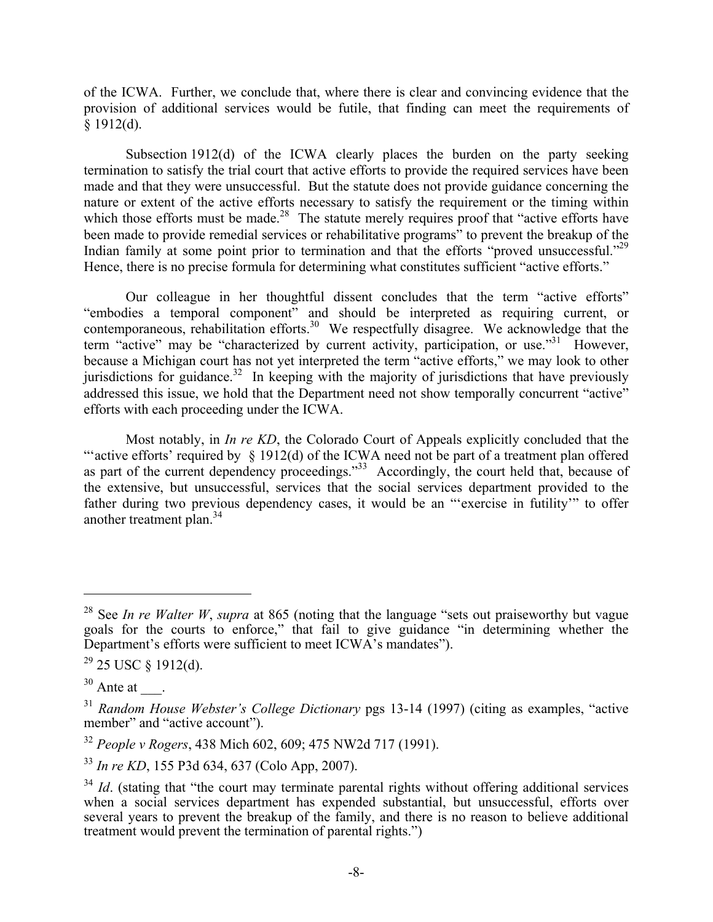of the ICWA. Further, we conclude that, where there is clear and convincing evidence that the provision of additional services would be futile, that finding can meet the requirements of  $§$  1912(d).

 Subsection 1912(d) of the ICWA clearly places the burden on the party seeking termination to satisfy the trial court that active efforts to provide the required services have been made and that they were unsuccessful. But the statute does not provide guidance concerning the nature or extent of the active efforts necessary to satisfy the requirement or the timing within which those efforts must be made.<sup>28</sup> The statute merely requires proof that "active efforts have been made to provide remedial services or rehabilitative programs" to prevent the breakup of the Indian family at some point prior to termination and that the efforts "proved unsuccessful."<sup>29</sup> Hence, there is no precise formula for determining what constitutes sufficient "active efforts."

 Our colleague in her thoughtful dissent concludes that the term "active efforts" "embodies a temporal component" and should be interpreted as requiring current, or contemporaneous, rehabilitation efforts.<sup>30</sup> We respectfully disagree. We acknowledge that the term "active" may be "characterized by current activity, participation, or use."<sup>31</sup> However, because a Michigan court has not yet interpreted the term "active efforts," we may look to other jurisdictions for guidance.<sup>32</sup> In keeping with the majority of jurisdictions that have previously addressed this issue, we hold that the Department need not show temporally concurrent "active" efforts with each proceeding under the ICWA.

 Most notably, in *In re KD*, the Colorado Court of Appeals explicitly concluded that the "active efforts' required by  $\S$  1912(d) of the ICWA need not be part of a treatment plan offered as part of the current dependency proceedings."<sup>33</sup> Accordingly, the court held that, because of the extensive, but unsuccessful, services that the social services department provided to the father during two previous dependency cases, it would be an "'exercise in futility'" to offer another treatment plan.34

<sup>28</sup> See *In re Walter W*, *supra* at 865 (noting that the language "sets out praiseworthy but vague goals for the courts to enforce," that fail to give guidance "in determining whether the Department's efforts were sufficient to meet ICWA's mandates").

 $29$  25 USC § 1912(d).

 $30$  Ante at  $\qquad$ .

<sup>31</sup> *Random House Webster's College Dictionary* pgs 13-14 (1997) (citing as examples, "active member" and "active account").

<sup>32</sup> *People v Rogers*, 438 Mich 602, 609; 475 NW2d 717 (1991).

<sup>33</sup> *In re KD*, 155 P3d 634, 637 (Colo App, 2007).

<sup>&</sup>lt;sup>34</sup> *Id.* (stating that "the court may terminate parental rights without offering additional services when a social services department has expended substantial, but unsuccessful, efforts over several years to prevent the breakup of the family, and there is no reason to believe additional treatment would prevent the termination of parental rights.")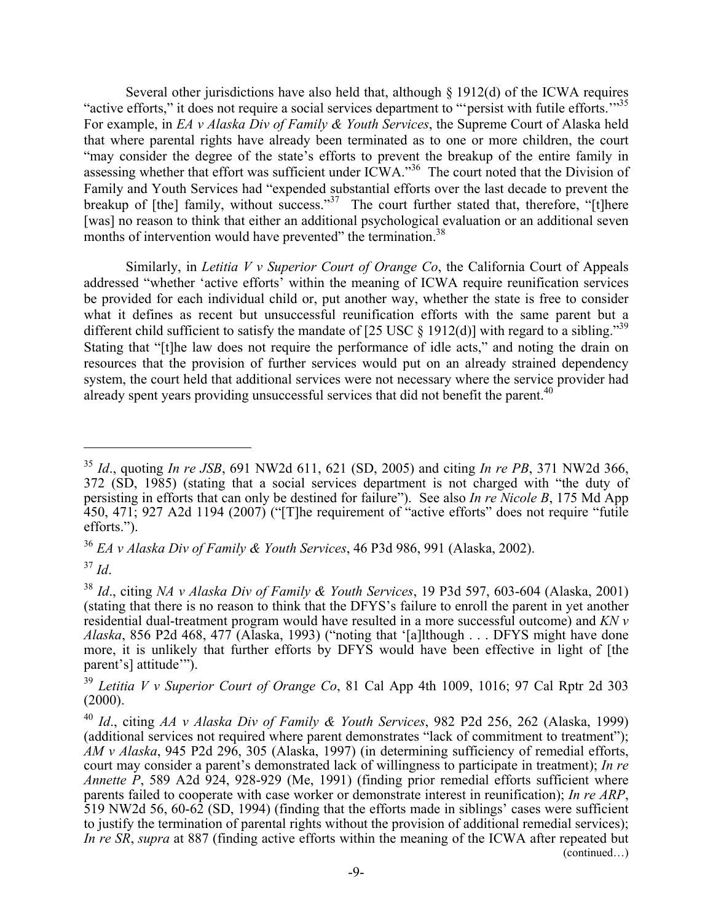Several other jurisdictions have also held that, although § 1912(d) of the ICWA requires "active efforts," it does not require a social services department to "'persist with futile efforts."<sup>35</sup> For example, in *EA v Alaska Div of Family & Youth Services*, the Supreme Court of Alaska held that where parental rights have already been terminated as to one or more children, the court "may consider the degree of the state's efforts to prevent the breakup of the entire family in assessing whether that effort was sufficient under ICWA."<sup>36</sup> The court noted that the Division of Family and Youth Services had "expended substantial efforts over the last decade to prevent the breakup of  $[the]$  family, without success."<sup>37</sup> The court further stated that, therefore, " $[t]$ here [was] no reason to think that either an additional psychological evaluation or an additional seven months of intervention would have prevented" the termination.<sup>38</sup>

 Similarly, in *Letitia V v Superior Court of Orange Co*, the California Court of Appeals addressed "whether 'active efforts' within the meaning of ICWA require reunification services be provided for each individual child or, put another way, whether the state is free to consider what it defines as recent but unsuccessful reunification efforts with the same parent but a different child sufficient to satisfy the mandate of [25 USC  $\S$  1912(d)] with regard to a sibling.<sup>39</sup> Stating that "[t]he law does not require the performance of idle acts," and noting the drain on resources that the provision of further services would put on an already strained dependency system, the court held that additional services were not necessary where the service provider had already spent years providing unsuccessful services that did not benefit the parent.<sup>40</sup>

<sup>36</sup> *EA v Alaska Div of Family & Youth Services*, 46 P3d 986, 991 (Alaska, 2002).

<sup>37</sup> *Id*.

<sup>35</sup> *Id*., quoting *In re JSB*, 691 NW2d 611, 621 (SD, 2005) and citing *In re PB*, 371 NW2d 366, 372 (SD, 1985) (stating that a social services department is not charged with "the duty of persisting in efforts that can only be destined for failure"). See also *In re Nicole B*, 175 Md App 450, 471; 927 A2d 1194 (2007) ("[T]he requirement of "active efforts" does not require "futile efforts.").

<sup>38</sup> *Id*., citing *NA v Alaska Div of Family & Youth Services*, 19 P3d 597, 603-604 (Alaska, 2001) (stating that there is no reason to think that the DFYS's failure to enroll the parent in yet another residential dual-treatment program would have resulted in a more successful outcome) and *KN v Alaska*, 856 P2d 468, 477 (Alaska, 1993) ("noting that '[a]lthough . . . DFYS might have done more, it is unlikely that further efforts by DFYS would have been effective in light of [the parent's] attitude'").

<sup>39</sup> *Letitia V v Superior Court of Orange Co*, 81 Cal App 4th 1009, 1016; 97 Cal Rptr 2d 303 (2000).

<sup>40</sup> *Id*., citing *AA v Alaska Div of Family & Youth Services*, 982 P2d 256, 262 (Alaska, 1999) (additional services not required where parent demonstrates "lack of commitment to treatment"); *AM v Alaska*, 945 P2d 296, 305 (Alaska, 1997) (in determining sufficiency of remedial efforts, court may consider a parent's demonstrated lack of willingness to participate in treatment); *In re Annette P*, 589 A2d 924, 928-929 (Me, 1991) (finding prior remedial efforts sufficient where parents failed to cooperate with case worker or demonstrate interest in reunification); *In re ARP*, 519 NW2d 56, 60-62 (SD, 1994) (finding that the efforts made in siblings' cases were sufficient to justify the termination of parental rights without the provision of additional remedial services); *In re SR*, *supra* at 887 (finding active efforts within the meaning of the ICWA after repeated but (continued…)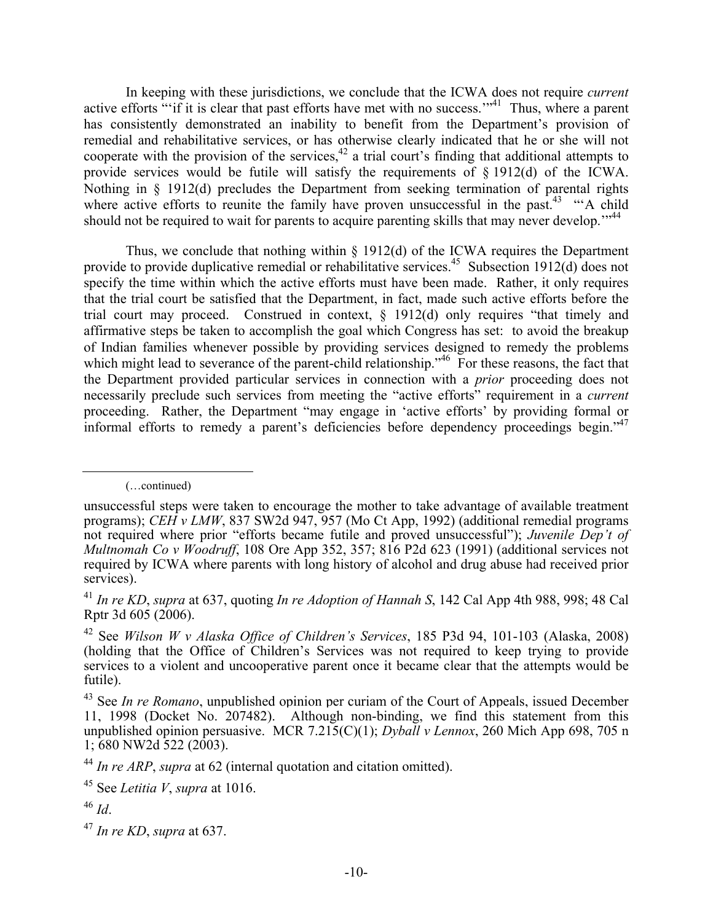In keeping with these jurisdictions, we conclude that the ICWA does not require *current* active efforts "'if it is clear that past efforts have met with no success."<sup>41</sup> Thus, where a parent has consistently demonstrated an inability to benefit from the Department's provision of remedial and rehabilitative services, or has otherwise clearly indicated that he or she will not cooperate with the provision of the services,  $42$  a trial court's finding that additional attempts to provide services would be futile will satisfy the requirements of § 1912(d) of the ICWA. Nothing in § 1912(d) precludes the Department from seeking termination of parental rights where active efforts to reunite the family have proven unsuccessful in the past.<sup>43</sup> "A child" should not be required to wait for parents to acquire parenting skills that may never develop."<sup>44</sup>

Thus, we conclude that nothing within  $\S$  1912(d) of the ICWA requires the Department provide to provide duplicative remedial or rehabilitative services.<sup>45</sup> Subsection 1912(d) does not specify the time within which the active efforts must have been made. Rather, it only requires that the trial court be satisfied that the Department, in fact, made such active efforts before the trial court may proceed. Construed in context, § 1912(d) only requires "that timely and affirmative steps be taken to accomplish the goal which Congress has set: to avoid the breakup of Indian families whenever possible by providing services designed to remedy the problems which might lead to severance of the parent-child relationship."<sup>46</sup> For these reasons, the fact that the Department provided particular services in connection with a *prior* proceeding does not necessarily preclude such services from meeting the "active efforts" requirement in a *current*  proceeding. Rather, the Department "may engage in 'active efforts' by providing formal or informal efforts to remedy a parent's deficiencies before dependency proceedings begin."47

(…continued)

unsuccessful steps were taken to encourage the mother to take advantage of available treatment programs); *CEH v LMW*, 837 SW2d 947, 957 (Mo Ct App, 1992) (additional remedial programs not required where prior "efforts became futile and proved unsuccessful"); *Juvenile Dep't of Multnomah Co v Woodruff*, 108 Ore App 352, 357; 816 P2d 623 (1991) (additional services not required by ICWA where parents with long history of alcohol and drug abuse had received prior services).

<sup>41</sup> *In re KD*, *supra* at 637, quoting *In re Adoption of Hannah S*, 142 Cal App 4th 988, 998; 48 Cal Rptr 3d 605 (2006).

<sup>42</sup> See *Wilson W v Alaska Office of Children's Services*, 185 P3d 94, 101-103 (Alaska, 2008) (holding that the Office of Children's Services was not required to keep trying to provide services to a violent and uncooperative parent once it became clear that the attempts would be futile).

<sup>&</sup>lt;sup>43</sup> See *In re Romano*, unpublished opinion per curiam of the Court of Appeals, issued December 11, 1998 (Docket No. 207482). Although non-binding, we find this statement from this unpublished opinion persuasive. MCR 7.215(C)(1); *Dyball v Lennox*, 260 Mich App 698, 705 n 1; 680 NW2d 522 (2003).

<sup>44</sup> *In re ARP*, *supra* at 62 (internal quotation and citation omitted).

<sup>45</sup> See *Letitia V*, *supra* at 1016.

<sup>46</sup> *Id*.

<sup>47</sup> *In re KD*, *supra* at 637.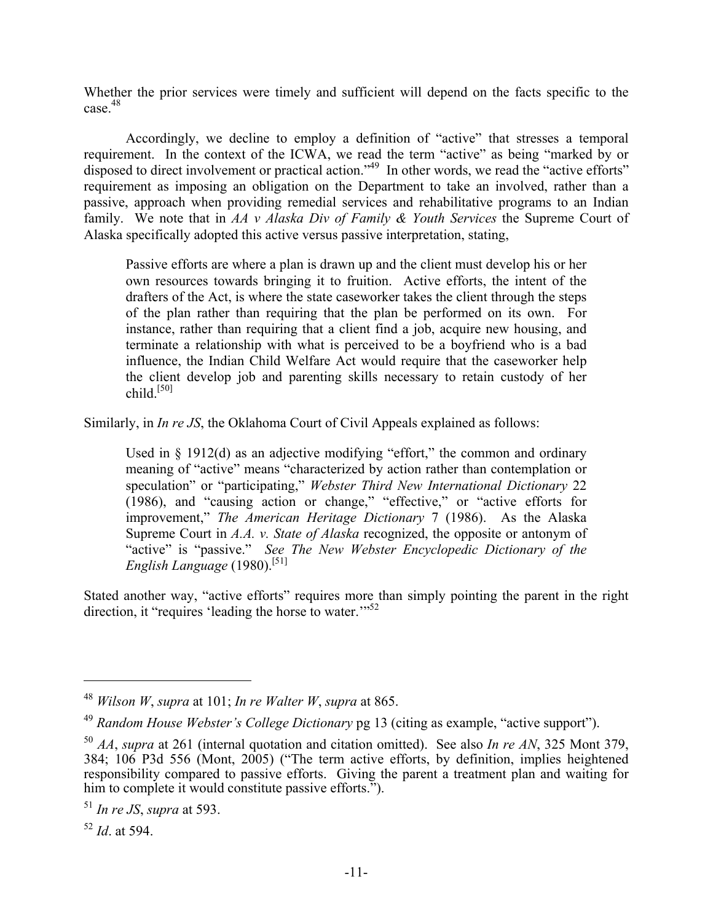Whether the prior services were timely and sufficient will depend on the facts specific to the case<sup>48</sup>

 Accordingly, we decline to employ a definition of "active" that stresses a temporal requirement. In the context of the ICWA, we read the term "active" as being "marked by or disposed to direct involvement or practical action."<sup>49</sup> In other words, we read the "active efforts" requirement as imposing an obligation on the Department to take an involved, rather than a passive, approach when providing remedial services and rehabilitative programs to an Indian family. We note that in *AA v Alaska Div of Family & Youth Services* the Supreme Court of Alaska specifically adopted this active versus passive interpretation, stating,

Passive efforts are where a plan is drawn up and the client must develop his or her own resources towards bringing it to fruition. Active efforts, the intent of the drafters of the Act, is where the state caseworker takes the client through the steps of the plan rather than requiring that the plan be performed on its own. For instance, rather than requiring that a client find a job, acquire new housing, and terminate a relationship with what is perceived to be a boyfriend who is a bad influence, the Indian Child Welfare Act would require that the caseworker help the client develop job and parenting skills necessary to retain custody of her child. $[50]$ 

Similarly, in *In re JS*, the Oklahoma Court of Civil Appeals explained as follows:

Used in § 1912(d) as an adjective modifying "effort," the common and ordinary meaning of "active" means "characterized by action rather than contemplation or speculation" or "participating," *Webster Third New International Dictionary* 22 (1986), and "causing action or change," "effective," or "active efforts for improvement," *The American Heritage Dictionary* 7 (1986). As the Alaska Supreme Court in *A.A. v. State of Alaska* recognized, the opposite or antonym of "active" is "passive." *See The New Webster Encyclopedic Dictionary of the English Language* (1980).[51]

Stated another way, "active efforts" requires more than simply pointing the parent in the right direction, it "requires 'leading the horse to water."<sup>52</sup>

<sup>48</sup> *Wilson W*, *supra* at 101; *In re Walter W*, *supra* at 865.

<sup>49</sup> *Random House Webster's College Dictionary* pg 13 (citing as example, "active support").

<sup>50</sup> *AA*, *supra* at 261 (internal quotation and citation omitted). See also *In re AN*, 325 Mont 379, 384; 106 P3d 556 (Mont, 2005) ("The term active efforts, by definition, implies heightened responsibility compared to passive efforts. Giving the parent a treatment plan and waiting for him to complete it would constitute passive efforts.").

<sup>51</sup> *In re JS*, *supra* at 593.

<sup>52</sup> *Id*. at 594.